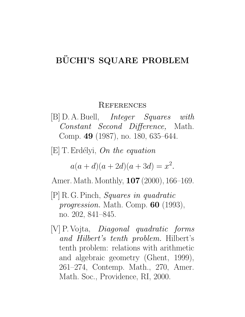## **REFERENCES**

[B] D. A. Buell, Integer Squares with Constant Second Difference, Math. Comp. 49 (1987), no. 180, 635–644.

 $[E]$  T. Erdélyi, On the equation

 $a(a+d)(a+2d)(a+3d) = x^2.$ 

Amer. Math. Monthly, **107** (2000), 166–169.

- [P] R. G. Pinch, Squares in quadratic progression. Math. Comp. 60 (1993), no. 202, 841–845.
- [V] P. Vojta, Diagonal quadratic forms and Hilbert's tenth problem. Hilbert's tenth problem: relations with arithmetic and algebraic geometry (Ghent, 1999), 261–274, Contemp. Math., 270, Amer. Math. Soc., Providence, RI, 2000.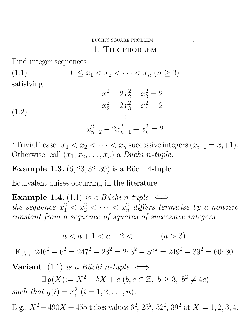1. The problem

Find integer sequences

(1.1)  $0 \le x_1 < x_2 < \cdots < x_n \ (n \ge 3)$ satisfying  $\overline{2}$ 

(1.2)  

$$
x_1^2 - 2x_2^2 + x_3^2 = 2
$$

$$
x_2^2 - 2x_3^2 + x_4^2 = 2
$$

$$
\vdots
$$

$$
x_{n-2}^2 - 2x_{n-1}^2 + x_n^2 = 2
$$

"Trivial" case:  $x_1 < x_2 < \cdots < x_n$  successive integers  $(x_{i+1} = x_i+1)$ . Otherwise, call  $(x_1, x_2, \ldots, x_n)$  a *Büchi n-tuple*.

**Example 1.3.**  $(6, 23, 32, 39)$  is a Büchi 4-tuple.

Equivalent guises occurring in the literature:

**Example 1.4.** (1.1) is a Büchi n-tuple  $\iff$ the sequence  $x_1^2 < x_2^2 < \cdots < x_n^2$  differs termwise by a nonzero constant from a sequence of squares of successive integers

$$
a < a + 1 < a + 2 < \dots \qquad (a > 3).
$$

E.g.,  $246^2 - 6^2 = 247^2 - 23^2 = 248^2 - 32^2 = 249^2 - 39^2 = 60480.$ 

Variant: (1.1) is a Büchi n-tuple  $\iff$ 

 $\exists g(X) := X^2 + bX + c \ (b, c \in \mathbb{Z}, \ b \geq 3, \ b^2 \neq 4c)$ such that  $g(i) = x_i^2$  $i^2$   $(i = 1, 2, \ldots, n).$ 

E.g.,  $X^2 + 490X - 455$  takes values  $6^2$ ,  $23^2$ ,  $32^2$ ,  $39^2$  at  $X = 1, 2, 3, 4$ .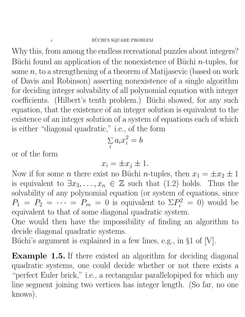Why this, from among the endless recreational puzzles about integers? Büchi found an application of the nonexistence of Büchi  $n$ -tuples, for some  $n$ , to a strengthening of a theorem of Matijasevic (based on work of Davis and Robinson) asserting nonexistence of a single algorithm for deciding integer solvability of all polynomial equation with integer coefficients. (Hilbert's tenth problem.) Büchi showed, for any such equation, that the existence of an integer solution is equivalent to the existence of an integer solution of a system of equations each of which is either "diagonal quadratic," i.e., of the form

$$
\sum_i a_i x_i^2 = b
$$

or of the form

$$
x_i = \pm x_j \pm 1.
$$

Now if for some *n* there exist no Büchi *n*-tuples, then  $x_1 = \pm x_2 \pm 1$ is equivalent to  $\exists x_3, \ldots, x_n \in \mathbb{Z}$  such that (1.2) holds. Thus the solvability of any polynomial equation (or system of equations, since  $P_1 = P_2 = \cdots = P_m = 0$  is equivalent to  $\Sigma P_i^2 = 0$ ) would be equivalent to that of some diagonal quadratic system.

One would then have the impossibility of finding an algorithm to decide diagonal quadratic systems.

Büchi's argument is explained in a few lines, e.g., in  $\S1$  of [V].

Example 1.5. If there existed an algorithm for deciding diagonal quadratic systems, one could decide whether or not there exists a "perfect Euler brick," i.e., a rectangular parallelopiped for which any line segment joining two vertices has integer length. (So far, no one knows).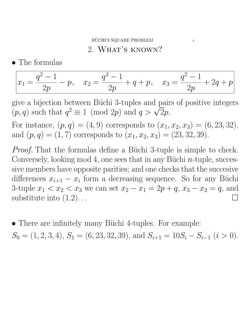## 2. WHAT'S KNOWN?

• The formulas

$$
x_1 = \frac{q^2 - 1}{2p} - p, \quad x_2 = \frac{q^2 - 1}{2p} + q + p, \quad x_3 = \frac{q^2 - 1}{2p} + 2q + p
$$

give a bijection between Büchi 3-tuples and pairs of positive integers give a bijection between Buchi 3-tuples and pair  $(p, q)$  such that  $q^2 \equiv 1 \pmod{2p}$  and  $q > \sqrt{2}p$ .

For instance,  $(p, q) = (4, 9)$  corresponds to  $(x_1, x_2, x_3) = (6, 23, 32)$ , and  $(p, q) = (1, 7)$  corresponds to  $(x_1, x_2, x_3) = (23, 32, 39)$ .

*Proof.* That the formulas define a Büchi 3-tuple is simple to check. Conversely, looking mod 4, one sees that in any Büchi  $n$ -tuple, successive members have opposite parities; and one checks that the succesive differences  $x_{i+1} - x_i$  form a decreasing sequence. So for any Büchi 3-tuple  $x_1 < x_2 < x_3$  we can set  $x_2 - x_1 = 2p + q$ ,  $x_3 - x_2 = q$ , and substitute into  $(1.2)$ ...

• There are infinitely many Büchi 4-tuples. For example:

 $S_0 = (1, 2, 3, 4), S_1 = (6, 23, 32, 39), \text{ and } S_{i+1} = 10S_i - S_{i-1}$  ( $i > 0$ ).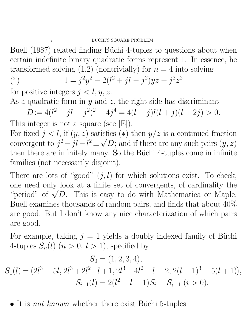Buell (1987) related finding Büchi 4-tuples to questions about when certain indefinite binary quadratic forms represent 1. In essence, he transformed solving  $(1.2)$  (nontrivially) for  $n = 4$  into solving

(\*) 
$$
1 = j^2 y^2 - 2(l^2 + jl - j^2)yz + j^2 z^2
$$

for positive integers  $j < l, y, z$ .

As a quadratic form in  $y$  and  $z$ , the right side has discriminant

$$
D := 4(l^2 + il - j^2)^2 - 4j^4 = 4(l - j)l(l + j)(l + 2j) > 0.
$$

This integer is not a square (see [E]). For fixed  $j < l$ , if  $(y, z)$  satisfies  $(*)$  then  $y/z$  is a continued fraction convergent to  $j^2 - il - l^2 \pm \sqrt{D}$ ; and if there are any such pairs  $(y, z)$ then there are infinitely many. So the Büchi 4-tuples come in infinite families (not necessarily disjoint).

There are lots of "good"  $(j, l)$  for which solutions exist. To check, one need only look at a finite set of convergents, of cardinality the one need only look at a finite set of convergents, of cardinality the "period" of  $\sqrt{D}$ . This is easy to do with Mathematica or Maple. Buell examines thousands of random pairs, and finds that about 40% are good. But I don't know any nice characterization of which pairs are good.

For example, taking  $j = 1$  yields a doubly indexed family of Büchi 4-tuples  $S_n(l)$   $(n > 0, l > 1)$ , specified by

$$
S_0 = (1, 2, 3, 4),
$$
  
\n
$$
S_1(l) = (2l^3 - 5l, 2l^3 + 2l^2 - l + 1, 2l^3 + 4l^2 + l - 2, 2(l + 1)^3 - 5(l + 1)),
$$
  
\n
$$
S_{i+1}(l) = 2(l^2 + l - 1)S_i - S_{i-1} \ (i > 0).
$$

• It is *not known* whether there exist Büchi 5-tuples.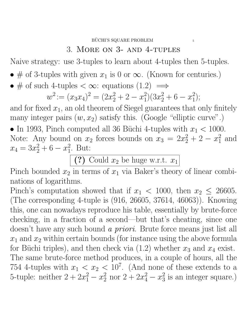Naive strategy: use 3-tuples to learn about 4-tuples then 5-tuples.

- # of 3-tuples with given  $x_1$  is 0 or  $\infty$ . (Known for centuries.)
- # of such 4-tuples  $< \infty$ : equations  $(1.2) \implies$

$$
w^{2} := (x_{3}x_{4})^{2} = (2x_{2}^{2} + 2 - x_{1}^{2})(3x_{2}^{2} + 6 - x_{1}^{2});
$$

and for fixed  $x_1$ , an old theorem of Siegel guarantees that only finitely many integer pairs  $(w, x_2)$  satisfy this. (Google "elliptic curve".)

• In 1993, Pinch computed all 36 Büchi 4-tuples with  $x_1 < 1000$ . Note: Any bound on  $x_2$  forces bounds on  $x_3 = 2x_2^2 + 2 - x_1^2$  $_1^2$  and  $x_4 = 3x_2^2 + 6 - x_1^2$  $_1^2$ . But:

(?) Could  $x_2$  be huge w.r.t.  $x_1$ 

Pinch bounded  $x_2$  in terms of  $x_1$  via Baker's theory of linear combinations of logarithms.

Pinch's computation showed that if  $x_1 < 1000$ , then  $x_2 \le 26605$ . (The corresponding 4-tuple is (916, 26605, 37614, 46063)). Knowing this, one can nowadays reproduce his table, essentially by brute-force checking, in a fraction of a second—but that's cheating, since one doesn't have any such bound a priori. Brute force means just list all  $x_1$  and  $x_2$  within certain bounds (for instance using the above formula for Büchi triples), and then check via  $(1.2)$  whether  $x_3$  and  $x_4$  exist. The same brute-force method produces, in a couple of hours, all the 754 4-tuples with  $x_1 < x_2 < 10^7$ . (And none of these extends to a 5-tuple: neither  $2 + 2x_1^2 - x_2^2$  nor  $2 + 2x_4^2 - x_3^2$  $\frac{2}{3}$  is an integer square.)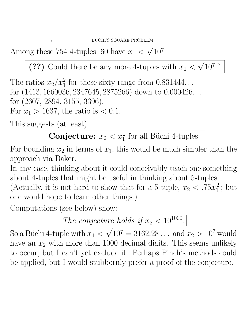Among these 754 4-tuples, 60 have  $x_1 < \sqrt{10^7}$ . √

(??) Could there be any more 4-tuples with  $x_1$  < √ 10<sup>7</sup> ?

The ratios  $x_2/x_1^2$  for these sixty range from 0.831444... for (1413, 1660036, 2347645, 2875266) down to 0.000426. . . for (2607, 2894, 3155, 3396). For  $x_1 > 1637$ , the ratio is  $< 0.1$ .

This suggests (at least):

**Conjecture:**  $x_2 < x_1^2$  for all Büchi 4-tuples.

For bounding  $x_2$  in terms of  $x_1$ , this would be much simpler than the approach via Baker.

In any case, thinking about it could conceivably teach one something about 4-tuples that might be useful in thinking about 5-tuples.

(Actually, it is not hard to show that for a 5-tuple,  $x_2 < .75x_1^2$  $\frac{2}{1}$ ; but one would hope to learn other things.)

Computations (see below) show:

The conjecture holds if  $x_2 < 10^{1000}$ .

So a Büchi 4-tuple with  $x_1$  <  $\frac{0}{\sqrt{2}}$  $\overline{10^7} = 3162.28...$  and  $x_2 > 10^7$  would have an  $x_2$  with more than 1000 decimal digits. This seems unlikely to occur, but I can't yet exclude it. Perhaps Pinch's methods could be applied, but I would stubbornly prefer a proof of the conjecture.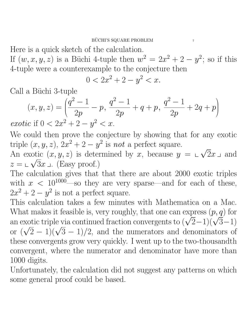Here is a quick sketch of the calculation.

If  $(w, x, y, z)$  is a Büchi 4-tuple then  $w^2 = 2x^2 + 2 - y^2$ ; so if this 4-tuple were a counterexample to the conjecture then

$$
0 < 2x^2 + 2 - y^2 < x.
$$

Call a Büchi 3-tuple

$$
(x, y, z) = \left(\frac{q^2 - 1}{2p} - p, \frac{q^2 - 1}{2p} + q + p, \frac{q^2 - 1}{2p} + 2q + p\right)
$$
  
exotic if  $0 < 2x^2 + 2 - y^2 < x$ .

We could then prove the conjecture by showing that for any exotic triple  $(x, y, z)$ ,  $2x^2 + 2 - y^2$  is not a perfect square. √

An exotic  $(x, y, z)$  is determined by x, because  $y = \Box$ otic  $(x, y, z)$  is determined by x, because  $y = \sqrt{2}x \perp$  and  $z = \sqrt{3}x$  J. (Easy proof.)

The calculation gives that that there are about 2000 exotic triples with  $x < 10^{1000}$  so they are very sparse—and for each of these,  $2x^2+2-y^2$  is not a perfect square.

This calculation takes a few minutes with Mathematica on a Mac. What makes it feasible is, very roughly, that one can express  $(p, q)$  for what makes it reasible is, very roughly, that one can express  $(p, q)$  for<br>an exotic triple via continued fraction convergents to  $(\sqrt{2}-1)(\sqrt{3}-1)$ an exotic triple via continued fraction convergents to  $(\sqrt{2}-1)(\sqrt{3}-1)$ <br>or  $(\sqrt{2}-1)(\sqrt{3}-1)/2$ , and the numerators and denominators of these convergents grow very quickly. I went up to the two-thousandth convergent, where the numerator and denominator have more than 1000 digits.

Unfortunately, the calculation did not suggest any patterns on which some general proof could be based.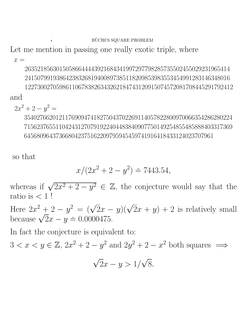Let me mention in passing one really exotic triple, where

 $x =$ 

26352185630150586644443921684341997297798285735502455029231965414 24150799193864238326819400897385118209853983553454991283146348016 122730027059861106783826343262184743120915074572081708445291792412 and

 $2x^2 + 2 - y^2 =$ 

354027662012117690947418275043702269114057822800970066354286280224 715623765511042431270791922404483840907750149254855485888403317369 645680964373668042375162209795945459741916418433124023707961

so that

$$
x/(2x^2 + 2 - y^2) \doteq 7443.54,
$$

whereas if  $\sqrt{2x^2 + 2 - y^2} \in \mathbb{Z}$ , the conjecture would say that the ratio is  $< 1$ !

Here  $2x^2 + 2 - y^2 = (\sqrt{2}x - y)(\sqrt{2}x + y) + 2$  is relatively small Here  $2x^2 + 2 - y^2 = (\sqrt{2x} - \theta)^2$ <br>because  $\sqrt{2x - y} = 0.0000475$ .

In fact the conjecture is equivalent to:

 $3 < x < y \in \mathbb{Z}, 2x^2 + 2 - y^2$  and  $2y^2 + 2 - x^2$  both squares  $\implies$ 

$$
\sqrt{2}x - y > \frac{1}{\sqrt{8}}.
$$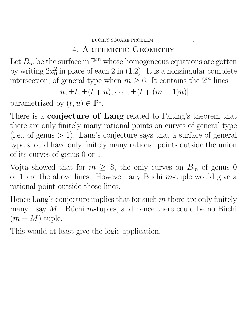## 4. ARITHMETIC GEOMETRY

Let  $B_m$  be the surface in  $\mathbb{P}^m$  whose homogeneous equations are gotten by writing  $2x_0^2$  $\frac{2}{0}$  in place of each 2 in (1.2). It is a nonsingular complete intersection, of general type when  $m \geq 6$ . It contains the  $2^m$  lines

$$
[u, \pm t, \pm (t+u), \cdots, \pm (t+(m-1)u)]
$$

parametrized by  $(t, u) \in \mathbb{P}^1$ .

There is a **conjecture of Lang** related to Falting's theorem that there are only finitely many rational points on curves of general type  $(i.e., of genus > 1)$ . Lang's conjecture says that a surface of general type should have only finitely many rational points outside the union of its curves of genus 0 or 1.

Vojta showed that for  $m \geq 8$ , the only curves on  $B_m$  of genus 0 or 1 are the above lines. However, any Büchi  $m$ -tuple would give a rational point outside those lines.

Hence Lang's conjecture implies that for such  $m$  there are only finitely many—say  $M$ —Büchi m-tuples, and hence there could be no Büchi  $(m + M)$ -tuple.

This would at least give the logic application.